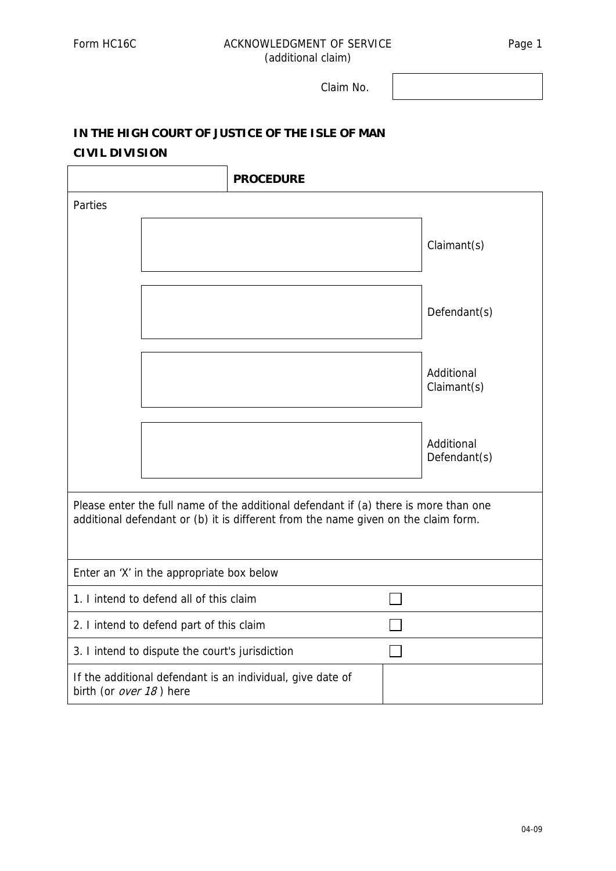## Form HC16C ACKNOWLEDGMENT OF SERVICE Page 1 (additional claim)

Claim No.

## **IN THE HIGH COURT OF JUSTICE OF THE ISLE OF MAN CIVIL DIVISION**

|                                                                                                                                                                            |                                                 | <b>PROCEDURE</b> |  |                            |  |
|----------------------------------------------------------------------------------------------------------------------------------------------------------------------------|-------------------------------------------------|------------------|--|----------------------------|--|
| Parties                                                                                                                                                                    |                                                 |                  |  |                            |  |
|                                                                                                                                                                            |                                                 |                  |  | Claimant(s)                |  |
|                                                                                                                                                                            |                                                 |                  |  | Defendant(s)               |  |
|                                                                                                                                                                            |                                                 |                  |  | Additional<br>Claimant(s)  |  |
|                                                                                                                                                                            |                                                 |                  |  | Additional<br>Defendant(s) |  |
| Please enter the full name of the additional defendant if (a) there is more than one<br>additional defendant or (b) it is different from the name given on the claim form. |                                                 |                  |  |                            |  |
| Enter an 'X' in the appropriate box below                                                                                                                                  |                                                 |                  |  |                            |  |
| 1. I intend to defend all of this claim                                                                                                                                    |                                                 |                  |  |                            |  |
| 2. I intend to defend part of this claim                                                                                                                                   |                                                 |                  |  |                            |  |
|                                                                                                                                                                            | 3. I intend to dispute the court's jurisdiction |                  |  |                            |  |
| If the additional defendant is an individual, give date of<br>birth (or over 18) here                                                                                      |                                                 |                  |  |                            |  |